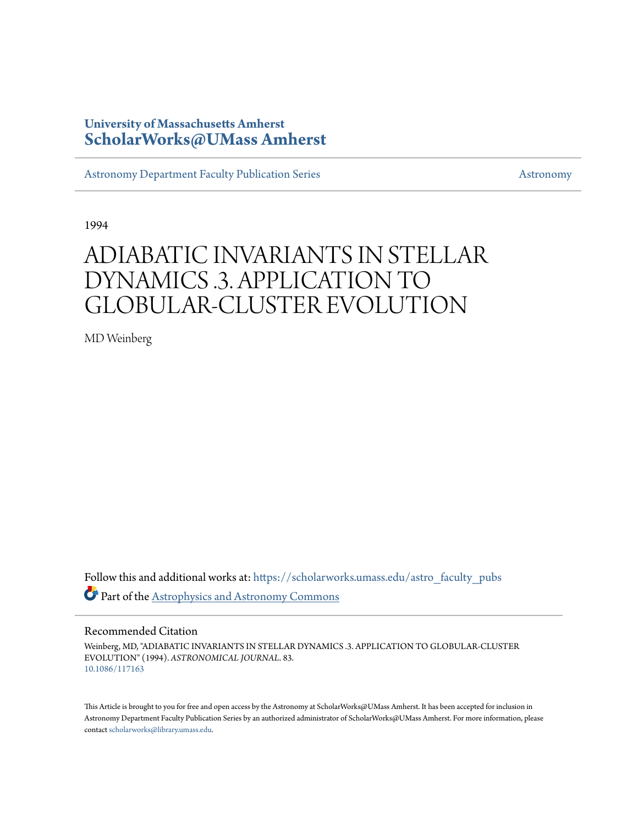## **University of Massachusetts Amherst [ScholarWorks@UMass Amherst](https://scholarworks.umass.edu?utm_source=scholarworks.umass.edu%2Fastro_faculty_pubs%2F83&utm_medium=PDF&utm_campaign=PDFCoverPages)**

[Astronomy Department Faculty Publication Series](https://scholarworks.umass.edu/astro_faculty_pubs?utm_source=scholarworks.umass.edu%2Fastro_faculty_pubs%2F83&utm_medium=PDF&utm_campaign=PDFCoverPages) [Astronomy](https://scholarworks.umass.edu/astro?utm_source=scholarworks.umass.edu%2Fastro_faculty_pubs%2F83&utm_medium=PDF&utm_campaign=PDFCoverPages)

1994

# ADIABATIC INVARIANTS IN STELLAR DYNAMICS .3. APPLICATION TO GLOBULAR-CLUSTER EVOLUTION

MD Weinberg

Follow this and additional works at: [https://scholarworks.umass.edu/astro\\_faculty\\_pubs](https://scholarworks.umass.edu/astro_faculty_pubs?utm_source=scholarworks.umass.edu%2Fastro_faculty_pubs%2F83&utm_medium=PDF&utm_campaign=PDFCoverPages) Part of the [Astrophysics and Astronomy Commons](http://network.bepress.com/hgg/discipline/123?utm_source=scholarworks.umass.edu%2Fastro_faculty_pubs%2F83&utm_medium=PDF&utm_campaign=PDFCoverPages)

#### Recommended Citation

Weinberg, MD, "ADIABATIC INVARIANTS IN STELLAR DYNAMICS .3. APPLICATION TO GLOBULAR-CLUSTER EVOLUTION" (1994). *ASTRONOMICAL JOURNAL*. 83. <10.1086/117163>

This Article is brought to you for free and open access by the Astronomy at ScholarWorks@UMass Amherst. It has been accepted for inclusion in Astronomy Department Faculty Publication Series by an authorized administrator of ScholarWorks@UMass Amherst. For more information, please contact [scholarworks@library.umass.edu](mailto:scholarworks@library.umass.edu).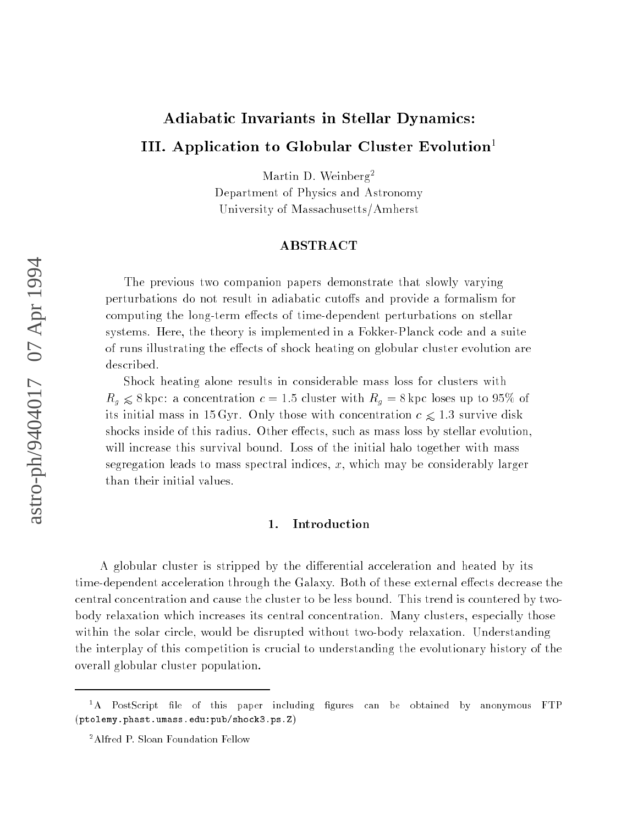## Adiabatic Invariants in Stellar Dynamics:

## III. Application to Globular Cluster Evolution<sup>1</sup>

Martin D. Weinberg<sup>2</sup>

Department of Physics and Astronomy University of Massachusetts/Amherst

#### ABSTRACT

The previous two companion papers demonstrate that slowly varying perturbations do not result in adiabatic cutoffs and provide a formalism for computing the long-term effects of time-dependent perturbations on stellar systems. Here, the theory is implemented in a Fokker-Planck code and a suite of runs illustrating the effects of shock heating on globular cluster evolution are described.

Shock heating alone results in considerable mass loss for clusters with rg  $\sim$  8 kpc: a concentration c = 1:5 cluster with Rg = 8 kpc loses up to 95% of its initial mass in 15 Gyr. Only those with concentration  $c \leq 1.3$  survive disk shocks inside of this radius. Other effects, such as mass loss by stellar evolution. will increase this survival bound. Loss of the initial halo together with mass segregation leads to mass spectral indices,  $x$ , which may be considerably larger than their initial values.

#### 1. Introduction

A globular cluster is stripped by the differential acceleration and heated by its time-dependent acceleration through the Galaxy. Both of these external effects decrease the central concentration and cause the cluster to be less bound. This trend is countered by twobody relaxation which increases its central concentration. Many clusters, especially those within the solar circle, would be disrupted without two-body relaxation. Understanding the interplay of this competition is crucial to understanding the evolutionary history of the overall globular cluster population.

 $1A$  PostScript file of this paper including figures can be obtained by anonymous FTP (ptolemy.phast.umass.edu:pub/shock3.ps.Z)

<sup>2</sup>Alfred P. Sloan Foundation Fellow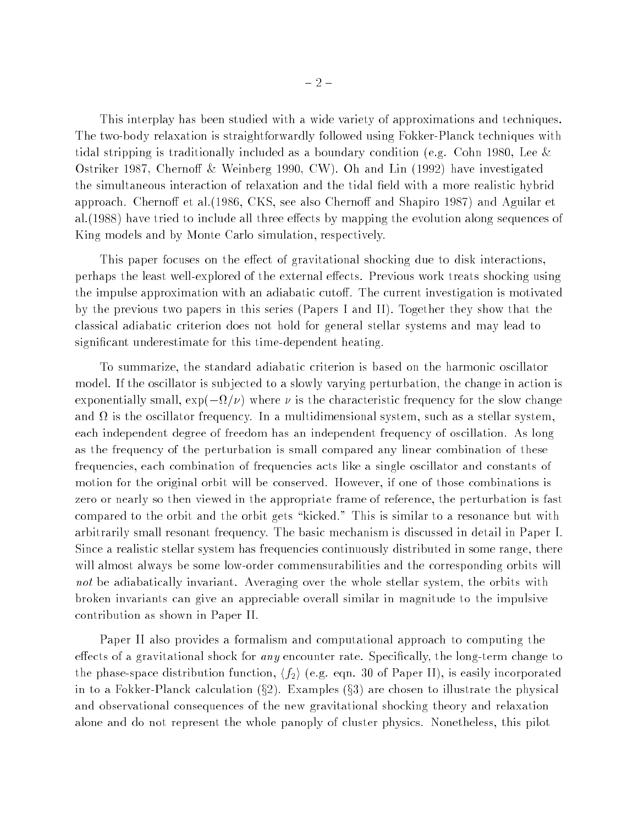This interplay has been studied with a wide variety of approximations and techniques. The two-body relaxation is straightforwardly followed using Fokker-Planck techniques with tidal stripping is traditionally included as a boundary condition (e.g. Cohn 1980, Lee  $\&$ Ostriker 1987, Chernoff & Weinberg 1990, CW). Oh and Lin  $(1992)$  have investigated the simultaneous interaction of relaxation and the tidal field with a more realistic hybrid approach. Chernoff et al. (1986, CKS, see also Chernoff and Shapiro 1987) and Aguilar et al. (1988) have tried to include all three effects by mapping the evolution along sequences of King models and by Monte Carlo simulation, respectively.

This paper focuses on the effect of gravitational shocking due to disk interactions. perhaps the least well-explored of the external effects. Previous work treats shocking using the impulse approximation with an adiabatic cutoff. The current investigation is motivated by the previous two papers in this series (Papers I and II). Together they show that the classical adiabatic criterion does not hold for general stellar systems and may lead to signicant underestimate for this time-dependent heating.

To summarize, the standard adiabatic criterion is based on the harmonic oscillator model. If the oscillator is sub jected to a slowly varying perturbation, the change in action is exploited ally small services and the characteristic componential services is the service component of the service of the characteristic frequency of the service of the characteristic frequency of the service of the servic and is the oscillator frequency is a multiplicator from a stellar system, such as stellar system, such as a st each independent degree of freedom has an independent frequency of oscillation. As long as the frequency of the perturbation is small compared any linear combination of these frequencies, each combination of frequencies acts like a single oscillator and constants of motion for the original orbit will be conserved. However, if one of those combinations is zero or nearly so then viewed in the appropriate frame of reference, the perturbation is fast compared to the orbit and the orbit gets "kicked." This is similar to a resonance but with arbitrarily small resonant frequency. The basic mechanism is discussed in detail in Paper I. Since a realistic stellar system has frequencies continuously distributed in some range, there will almost always be some low-order commensurabilities and the corresponding orbits will not be adiabatically invariant. Averaging over the whole stellar system, the orbits with broken invariants can give an appreciable overall similar in magnitude to the impulsive contribution as shown in Paper II.

Paper II also provides a formalism and computational approach to computing the effects of a gravitational shock for *any* encounter rate. Specifically, the long-term change to the phase-space distribution function,  $\langle f_2 \rangle$  (e.g. eqn. 30 of Paper II), is easily incorporated in to a Fokker-Planck calculation  $(\S2)$ . Examples  $(\S3)$  are chosen to illustrate the physical and observational consequences of the new gravitational shocking theory and relaxation alone and do not represent the whole panoply of cluster physics. Nonetheless, this pilot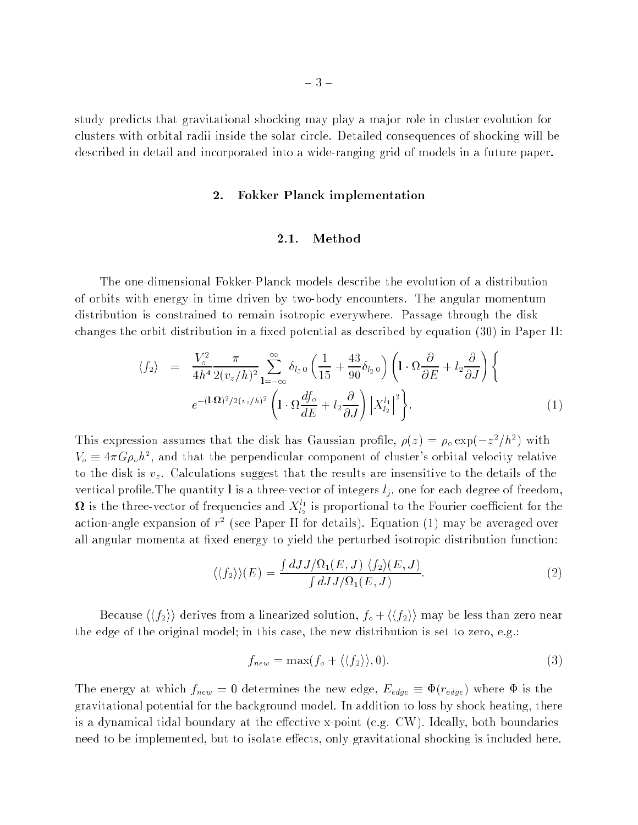study predicts that gravitational shocking may play a ma jor role in cluster evolution for clusters with orbital radii inside the solar circle. Detailed consequences of shocking will be described in detail and incorporated into a wide-ranging grid of models in a future paper.

#### 2. Fokker Planck implementation

#### 2.1. Method

The one-dimensional Fokker-Planck models describe the evolution of a distribution of orbits with energy in time driven by two-body encounters. The angular momentum distribution is constrained to remain isotropic everywhere. Passage through the disk changes the orbit distribution in a fixed potential as described by equation  $(30)$  in Paper II:

$$
\langle f_2 \rangle = \frac{V_o^2}{4h^4} \frac{\pi}{2(v_z/h)^2} \sum_{1=-\infty}^{\infty} \delta_{l_3 0} \left( \frac{1}{15} + \frac{43}{90} \delta_{l_2 0} \right) \left( 1 \cdot \Omega \frac{\partial}{\partial E} + l_2 \frac{\partial}{\partial J} \right) \left\{ 1 \cdot \Omega \frac{\partial}{\partial E} + (l_3 \frac{\partial}{\partial L})^2 \left( 1 \cdot \Omega \frac{\partial f_o}{\partial E} + l_2 \frac{\partial}{\partial J} \right) \left| X_{l_2}^{l_1} \right|^2 \right\}.
$$
 (1)

This expression assumes that the disk has Gaussian profile,  $\rho(z) = \rho_o \exp(-z^2/n^2)$  with  $V_{\phi} \equiv 4\pi G \rho_{\phi} h^2$ , and that the perpendicular component of cluster's orbital velocity relative to the disk is variable is variable to  $\omega_{\text{Q}}$  . The the details are insensitive to the details of the details of vertical protections of integers l is a three-vector of integers lj , one for each degree of freedom,  $\bm{\Omega}$  is the three-vector of frequencies and  $X_{l_2}^+$  is proportional to the Fourier coefficient for the action-angle expansion of  $r^-$  (see Paper II for details). Equation (1) may be averaged over all angular momenta at fixed energy to yield the perturbed isotropic distribution function:

$$
\langle \langle f_2 \rangle \rangle (E) = \frac{\int dJ J/\Omega_1(E, J) \langle f_2 \rangle (E, J)}{\int dJ J/\Omega_1(E, J)}.
$$
\n(2)

Because  $\langle \langle f_2 \rangle \rangle$  derives from a linearized solution,  $f_o + \langle \langle f_2 \rangle \rangle$  may be less than zero near the edge of the original model; in this case, the new distribution is set to zero, e.g.:

$$
f_{new} = \max(f_o + \langle \langle f_2 \rangle \rangle, 0). \tag{3}
$$

The energy at which fnew <sup>=</sup> <sup>0</sup> determines the new edge, Eedge (redge) where is the gravitational potential for the background model. In addition to loss by shock heating, there is a dynamical tidal boundary at the effective x-point (e.g.  $CW$ ). Ideally, both boundaries need to be implemented, but to isolate effects, only gravitational shocking is included here.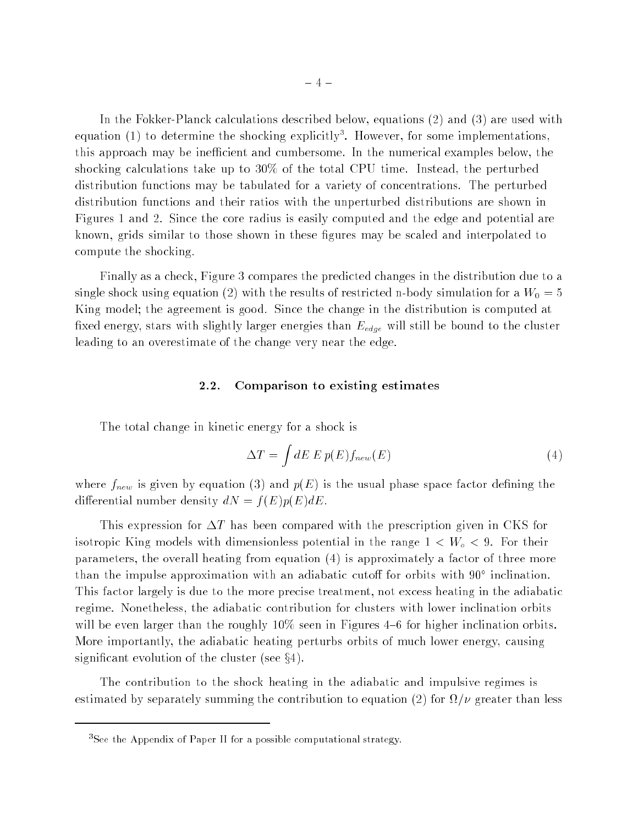In the Fokker-Planck calculations described below, equations (2) and (3) are used with equation (1) to determine the shocking explicitly<sup>3</sup>. However, for some implementations, this approach may be inefficient and cumbersome. In the numerical examples below, the shocking calculations take up to 30% of the total CPU time. Instead, the perturbed distribution functions may be tabulated for a variety of concentrations. The perturbed distribution functions and their ratios with the unperturbed distributions are shown in Figures 1 and 2. Since the core radius is easily computed and the edge and potential are known, grids similar to those shown in these gures may be scaled and interpolated to compute the shocking.

Finally as a check, Figure 3 compares the predicted changes in the distribution due to a single shock using equation (2) with the results of restricted n-body simulation for a  $W_0 = 5$ King model; the agreement is good. Since the change in the distribution is computed at xed energy, stars with slightly larger energies than Eedge will still be bound to the cluster leading to an overestimate of the change very near the edge.

#### 2.2. Comparison to existing estimates

The total change in kinetic energy for a shock is

$$
\Delta T = \int dE \, E \, p(E) f_{new}(E) \tag{4}
$$

where  $f$  individually distribution (3) and p(E) is the usual phase factor of  $f$  is the usual phase  $\Delta$ differential number density  $dN = f(E)p(E)dE$ .

This expression for  $\Delta T$  has been compared with the prescription given in CKS for isotropic King models with dimensionless potential in the range 1 <sup>&</sup>lt; Wo <sup>&</sup>lt; 9. For their parameters, the overall heating from equation (4) is approximately a factor of three more than the impulse approximation with an adiabatic cuton for orbits with 90 Inclination. This factor largely is due to the more precise treatment, not excess heating in the adiabatic regime. Nonetheless, the adiabatic contribution for clusters with lower inclination orbits will be even larger than the roughly  $10\%$  seen in Figures 4–6 for higher inclination orbits. More importantly, the adiabatic heating perturbs orbits of much lower energy, causing significant evolution of the cluster (see  $\S 4$ ).

The contribution to the shock heating in the adiabatic and impulsive regimes is estimated by separately summing the contribution to equation (2) for = greater than less

<sup>&</sup>lt;sup>3</sup>See the Appendix of Paper II for a possible computational strategy.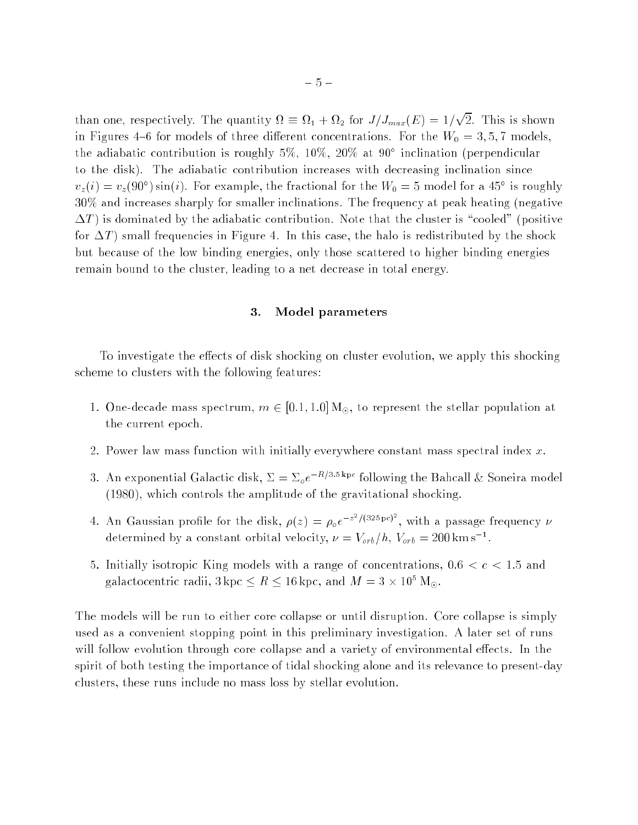than one, respectively. The quantity is the part of the  $\gamma$  /  $\gamma$  may  $\gamma=1$ products and the second in Figures 4-6 for models of three different concentrations. For the  $W_0 = 3, 5, 7$  models, the adiabatic contribution is roughly 5%, 10%, 20% at 90 inclination (perpendicular to the disk). The adiabatic contribution increases with decreasing inclination since  $v_z(i) = v_z(90^\circ) \sin(i)$ . For example, the fractional for the  $W_0 = 5$  model for a 45 is roughly 30% and increases sharply for smaller inclinations. The frequency at peak heating (negative  $\Delta T$ ) is dominated by the adiabatic contribution. Note that the cluster is "cooled" (positive for  $\Delta T$  small frequencies in Figure 4. In this case, the halo is redistributed by the shock but because of the low binding energies, only those scattered to higher binding energies remain bound to the cluster, leading to a net decrease in total energy.

#### 3. Model parameters

To investigate the effects of disk shocking on cluster evolution, we apply this shocking scheme to clusters with the following features:

- 1. One-decade mass spectrum,  $m \in [0.1, 1.0] M_{\odot}$ , to represent the stellar population at the current epoch.
- 2. Power law mass function with initially everywhere constant mass spectral index  $x$ .
- 3. An exponential Galactic disk,  $\Sigma = \sum_{\rho} e^{-R/3.5 \text{ kpc}}$  following the Bahcall & Soneira model (1980), which controls the amplitude of the gravitational shocking.
- 4. An Gaussian profile for the disk,  $\rho(z) = \rho_0 e^{-z^2/(325 \text{ pc})}$ , with a passage frequency  $\nu$ determined by a constant orbital velocity,  $\nu = v_{orb}/n$ ,  $v_{orb} = 200$  km s  $^{-1}$ .
- 5. Initially isotropic King models with a range of concentrations,  $0.6 < c < 1.5$  and galactocentric radii,  $\delta$  kpc  $\leq R \leq$  10 kpc, and  $M = \delta \times 10^5$  M $_{\odot}.$

The models will be run to either core collapse or until disruption. Core collapse is simply used as a convenient stopping point in this preliminary investigation. A later set of runs will follow evolution through core collapse and a variety of environmental effects. In the spirit of both testing the importance of tidal shocking alone and its relevance to present-day clusters, these runs include no mass loss by stellar evolution.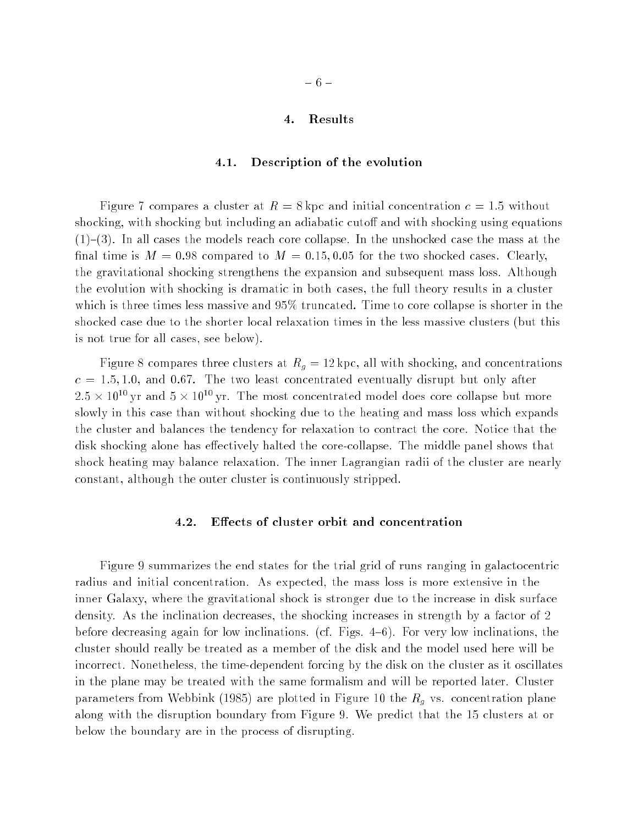#### 4. Results

#### 4.1. Description of the evolution

Figure 7 compares a cluster at  $R = 8 \text{ kpc}$  and initial concentration  $c = 1.5$  without shocking, with shocking but including an adiabatic cutoff and with shocking using equations  $(1)-(3)$ . In all cases the models reach core collapse. In the unshocked case the mass at the final time is  $M = 0.98$  compared to  $M = 0.15, 0.05$  for the two shocked cases. Clearly, the gravitational shocking strengthens the expansion and subsequent mass loss. Although the evolution with shocking is dramatic in both cases, the full theory results in a cluster which is three times less massive and 95% truncated. Time to core collapse is shorter in the shocked case due to the shorter local relaxation times in the less massive clusters (but this is not true for all cases, see below).

Figure 8 compares three clusters at Rg = 12 kpc, all with shocking, and concentrations  $c = 1.5, 1.0$ , and 0.67. The two least concentrated eventually disrupt but only after  $2.5 \times 10^{11}$  yr and  $5 \times 10^{11}$  yr. The most concentrated model does core conapse but more slowly in this case than without shocking due to the heating and mass loss which expands the cluster and balances the tendency for relaxation to contract the core. Notice that the disk shocking alone has effectively halted the core-collapse. The middle panel shows that shock heating may balance relaxation. The inner Lagrangian radii of the cluster are nearly constant, although the outer cluster is continuously stripped.

#### 4.2. Effects of cluster orbit and concentration

Figure 9 summarizes the end states for the trial grid of runs ranging in galactocentric radius and initial concentration. As expected, the mass loss is more extensive in the inner Galaxy, where the gravitational shock is stronger due to the increase in disk surface density. As the inclination decreases, the shocking increases in strength by a factor of 2 before decreasing again for low inclinations. (cf. Figs.  $4-6$ ). For very low inclinations, the cluster should really be treated as a member of the disk and the model used here will be incorrect. Nonetheless, the time-dependent forcing by the disk on the cluster as it oscillates in the plane may be treated with the same formalism and will be reported later. Cluster parameters from Webbink (1985) are plotted in Figure 10 the Rg vs. concentration plane along with the disruption boundary from Figure 9. We predict that the 15 clusters at or below the boundary are in the process of disrupting.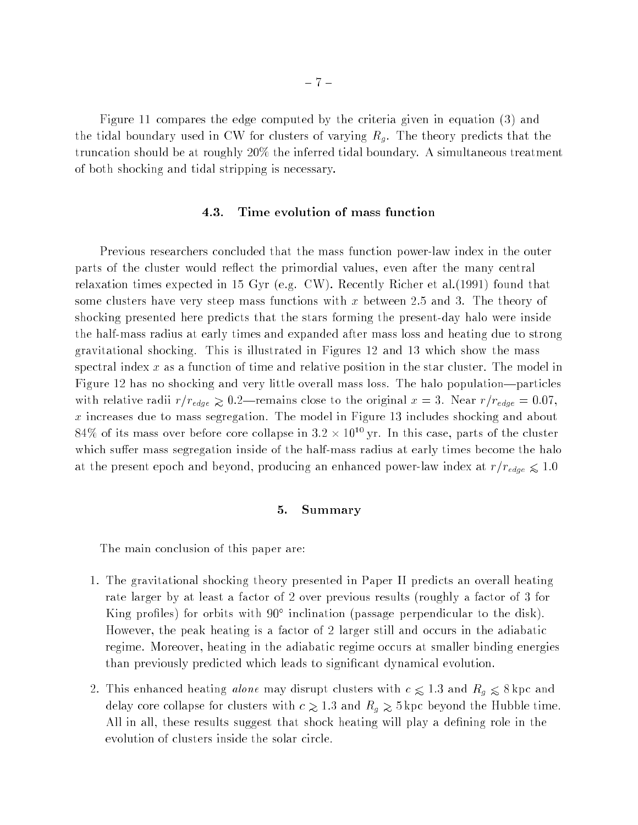Figure 11 compares the edge computed by the criteria given in equation (3) and the tidal boundary used in CW for clusters of varying Rg . The theory predicts that the truncation should be at roughly 20% the inferred tidal boundary. A simultaneous treatment of both shocking and tidal stripping is necessary.

#### 4.3. Time evolution of mass function

Previous researchers concluded that the mass function power-law index in the outer parts of the cluster would reflect the primordial values, even after the many central relaxation times expected in 15 Gyr (e.g. CW). Recently Richer et al.(1991) found that some clusters have very steep mass functions with x between 2.5 and 3. The theory of shocking presented here predicts that the stars forming the present-day halo were inside the half-mass radius at early times and expanded after mass loss and heating due to strong gravitational shocking. This is illustrated in Figures 12 and 13 which show the mass spectral index x as a function of time and relative position in the star cluster. The model in Figure 12 has no shocking and very little overall mass loss. The halo population—particles with relative radii redge  $\sim$  3.2] remains close to the original  $\sim$  3. Nearly redge  $\sim$  3.37,  $x$  increases due to mass segregation. The model in Figure 13 includes shocking and about  $84\%$  of its mass over before core conapse in 3.2  $\times$  10  $^{\circ}$  yr. In this case, parts of the cluster which suffer mass segregation inside of the half-mass radius at early times become the halo at the present epoch and and beyond, producing and enhanced power-law index at  $\cdot$   $\cdot$   $\cdot$   $\cdot$   $\cdot$   $\cdot$   $\cdot$ 

#### 5. Summary

The main conclusion of this paper are:

- 1. The gravitational shocking theory presented in Paper II predicts an overall heating rate larger by at least a factor of 2 over previous results (roughly a factor of 3 for King profiles) for orbits with 90° inclination (passage perpendicular to the disk). However, the peak heating is a factor of 2 larger still and occurs in the adiabatic regime. Moreover, heating in the adiabatic regime occurs at smaller binding energies than previously predicted which leads to signicant dynamical evolution.
- 2. This enhanced heating *alone* may disrupt clusters with  $c \leq 1.3$  and  $R_g \leq 8$  kpc and delay core collapse for clusters with  $c \gtrsim 1.3$  and  $R_g \gtrsim 5\,\text{kpc}$  beyond the Hubble time. All in all, these results suggest that shock heating will play a defining role in the evolution of clusters inside the solar circle.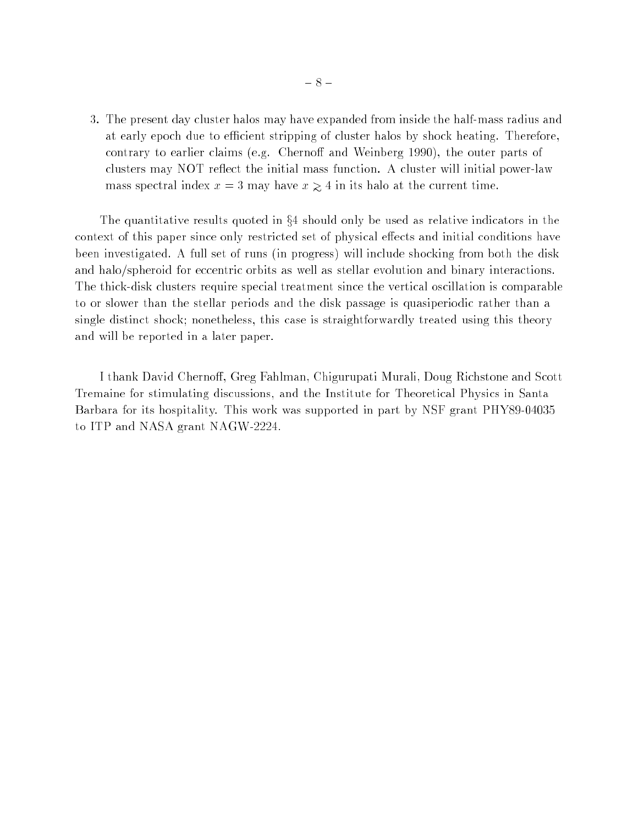3. The present day cluster halos may have expanded from inside the half-mass radius and at early epoch due to efficient stripping of cluster halos by shock heating. Therefore, contrary to earlier claims (e.g. Chernoff and Weinberg 1990), the outer parts of clusters may NOT re
ect the initial mass function. A cluster will initial power-law mass spectral index  $x = 3$  may have  $x \ge 4$  in its halo at the current time.

The quantitative results quoted in  $\S 4$  should only be used as relative indicators in the context of this paper since only restricted set of physical effects and initial conditions have been investigated. A full set of runs (in progress) will include shocking from both the disk and halo/spheroid for eccentric orbits as well as stellar evolution and binary interactions. The thick-disk clusters require special treatment since the vertical oscillation is comparable to or slower than the stellar periods and the disk passage is quasiperiodic rather than a single distinct shock; nonetheless, this case is straightforwardly treated using this theory and will be reported in a later paper.

I thank David Chernoff, Greg Fahlman, Chigurupati Murali, Doug Richstone and Scott Tremaine for stimulating discussions, and the Institute for Theoretical Physics in Santa Barbara for its hospitality. This work was supported in part by NSF grant PHY89-04035 to ITP and NASA grant NAGW-2224.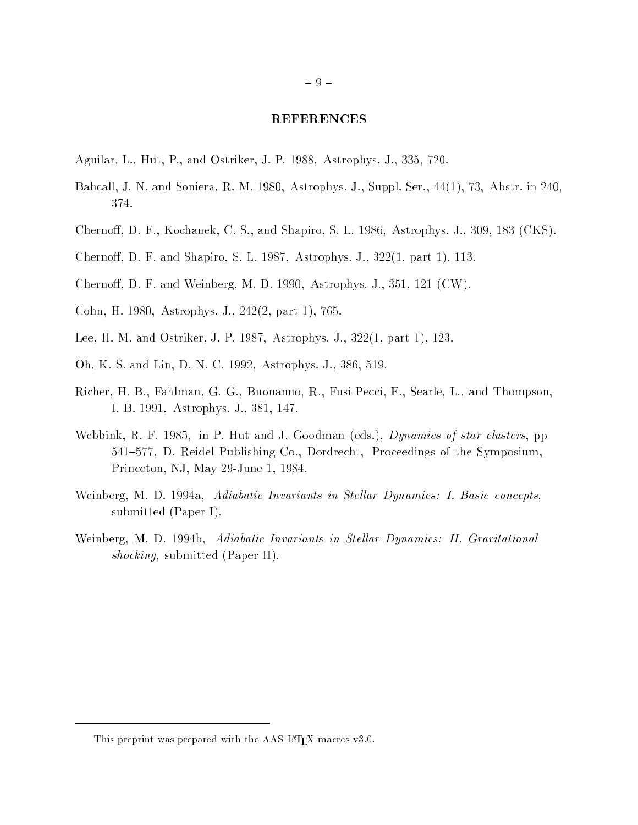#### REFERENCES

- Aguilar, L., Hut, P., and Ostriker, J. P. 1988, Astrophys. J., 335, 720.
- Bahcall, J. N. and Soniera, R. M. 1980, Astrophys. J., Suppl. Ser., 44(1), 73, Abstr. in 240, 374.
- Chernoff, D. F., Kochanek, C. S., and Shapiro, S. L. 1986, Astrophys. J., 309, 183 (CKS).
- Chernoff, D. F. and Shapiro, S. L. 1987, Astrophys. J., 322(1, part 1), 113.
- Chernoff, D. F. and Weinberg, M. D. 1990, Astrophys. J., 351, 121 (CW).
- Cohn, H. 1980, Astrophys. J., 242(2, part 1), 765.
- Lee, H. M. and Ostriker, J. P. 1987, Astrophys. J., 322(1, part 1), 123.
- Oh, K. S. and Lin, D. N. C. 1992, Astrophys. J., 386, 519.
- Richer, H. B., Fahlman, G. G., Buonanno, R., Fusi-Pecci, F., Searle, L., and Thompson, I. B. 1991, Astrophys. J., 381, 147.
- Webbink, R. F. 1985, in P. Hut and J. Goodman (eds.), *Dynamics of star clusters*, pp 541-577, D. Reidel Publishing Co., Dordrecht, Proceedings of the Symposium, Princeton, NJ, May 29-June 1, 1984.
- Weinberg, M. D. 1994a, Adiabatic Invariants in Stellar Dynamics: I. Basic concepts, submitted (Paper I).
- Weinberg, M. D. 1994b, Adiabatic Invariants in Stellar Dynamics: II. Gravitational shocking, submitted (Paper II).

This preprint was prepared with the AAS LATEX macros v3.0.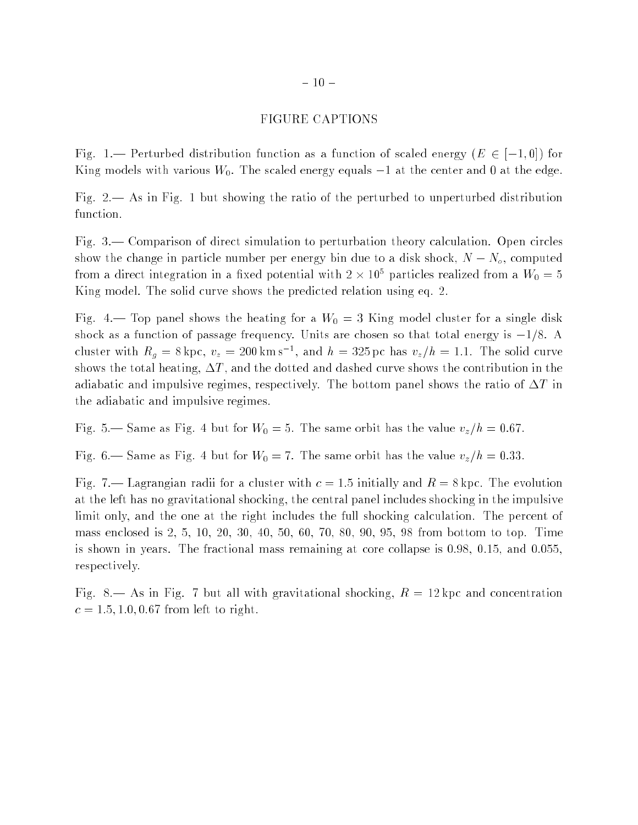#### FIGURE CAPTIONS

Fig. 1.— Perturbed distribution function as a function of scaled energy  $(E \in [-1,0])$  for King models with various  $W_0$ . The scaled energy equals  $-1$  at the center and 0 at the edge.

Fig.  $2$ — As in Fig. 1 but showing the ratio of the perturbed to unperturbed distribution function.

Fig.  $3-$  Comparison of direct simulation to perturbation theory calculation. Open circles show the change in particle number per energy bin due to a disk shock,  $N - N<sub>o</sub>$ , computed from a direct integration in a fixed potential with 2  $\times$  10° particles realized from a  $W_0=5$ King model. The solid curve shows the predicted relation using eq. 2.

Fig. 4.— Top panel shows the heating for a  $W_0 = 3$  King model cluster for a single disk shock as a function of passage frequency. Units are chosen so that total energy is  $-1/8$ . A cluster with  $R_g = 8$  kpc,  $v_z = 200$  km s<sup>-</sup>, and  $n = 325$  pc has  $v_z/n = 1.1$ . The solid curve shows the total heating,  $\Delta T$ , and the dotted and dashed curve shows the contribution in the adiabatic and impulsive regimes, respectively. The bottom panel shows the ratio of  $\Delta T$  in the adiabatic and impulsive regimes.

Fig. 5.— Same as Fig. 4 but for  $W_0 = 5$ . The same orbit has the value  $v_z/h = 0.67$ .

Fig. 6.— Same as Fig. 4 but for  $W_0 = 7$ . The same orbit has the value  $v_z/h = 0.33$ .

Fig. 7.— Lagrangian radii for a cluster with  $c = 1.5$  initially and  $R = 8$  kpc. The evolution at the left has no gravitational shocking, the central panel includes shocking in the impulsive limit only, and the one at the right includes the full shocking calculation. The percent of mass enclosed is 2, 5, 10, 20, 30, 40, 50, 60, 70, 80, 90, 95, 98 from bottom to top. Time is shown in years. The fractional mass remaining at core collapse is 0.98, 0.15, and 0.055, respectively.

Fig. 8.— As in Fig. 7 but all with gravitational shocking,  $R = 12$  kpc and concentration  $c = 1.5, 1.0, 0.67$  from left to right.